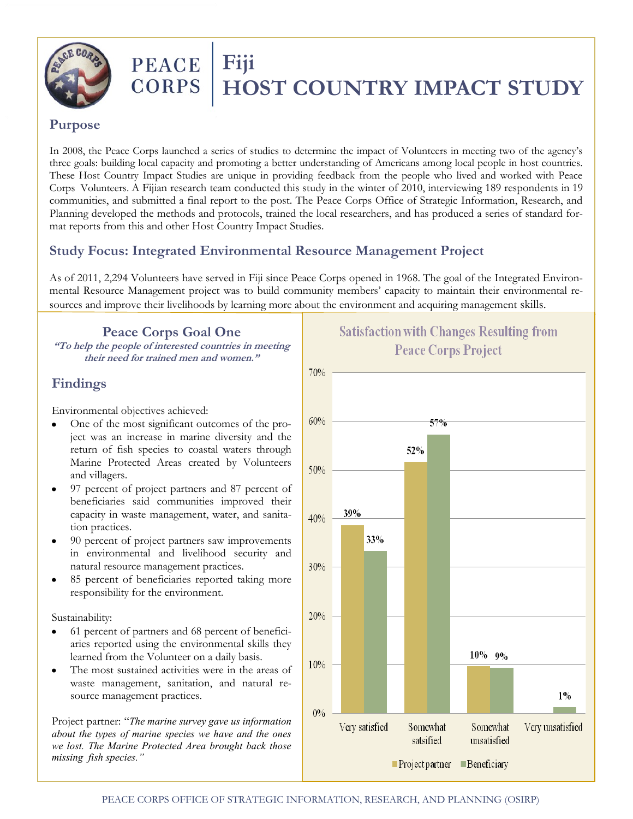

# PEACE Fiji

# **CORPS | HOST COUNTRY IMPACT STUDY**

#### **Purpose**

In 2008, the Peace Corps launched a series of studies to determine the impact of Volunteers in meeting two of the agency's three goals: building local capacity and promoting a better understanding of Americans among local people in host countries. These Host Country Impact Studies are unique in providing feedback from the people who lived and worked with Peace Corps Volunteers. A Fijian research team conducted this study in the winter of 2010, interviewing 189 respondents in 19 communities, and submitted a final report to the post. The Peace Corps Office of Strategic Information, Research, and Planning developed the methods and protocols, trained the local researchers, and has produced a series of standard format reports from this and other Host Country Impact Studies.

### **Study Focus: Integrated Environmental Resource Management Project**

As of 2011, 2,294 Volunteers have served in Fiji since Peace Corps opened in 1968. The goal of the Integrated Environmental Resource Management project was to build community members' capacity to maintain their environmental resources and improve their livelihoods by learning more about the environment and acquiring management skills.

**Peace Corps Goal One "To help the people of interested countries in meeting their need for trained men and women."**

## **Findings**

Environmental objectives achieved:

- One of the most significant outcomes of the project was an increase in marine diversity and the return of fish species to coastal waters through Marine Protected Areas created by Volunteers and villagers.
- 97 percent of project partners and 87 percent of beneficiaries said communities improved their capacity in waste management, water, and sanitation practices.
- 90 percent of project partners saw improvements in environmental and livelihood security and natural resource management practices.
- 85 percent of beneficiaries reported taking more responsibility for the environment.

Sustainability:

- 61 percent of partners and 68 percent of beneficiaries reported using the environmental skills they learned from the Volunteer on a daily basis.
- The most sustained activities were in the areas of waste management, sanitation, and natural resource management practices.

Project partner: "*The marine survey gave us information about the types of marine species we have and the ones we lost. The Marine Protected Area brought back those missing fish species."*

# **Satisfaction with Changes Resulting from Peace Corps Project**